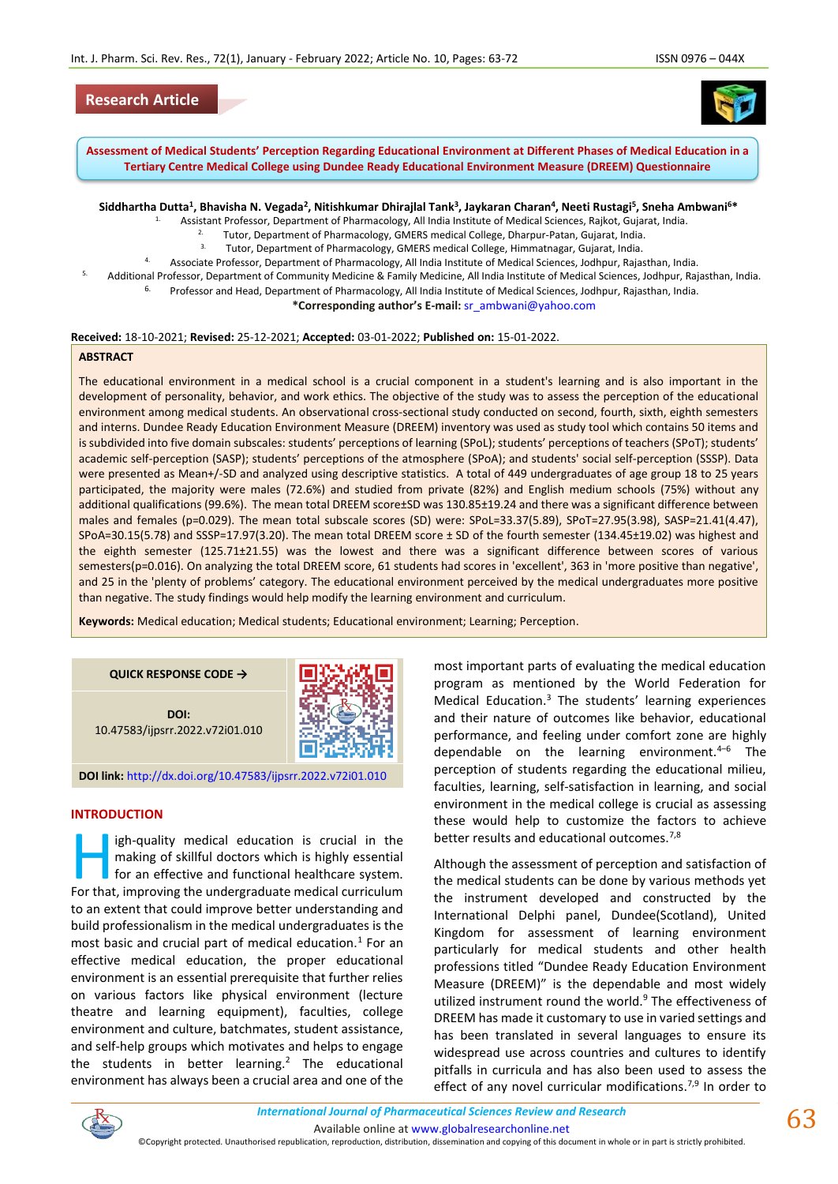# **Research Article**



**Assessment of Medical Students' Perception Regarding Educational Environment at Different Phases of Medical Education in a Tertiary Centre Medical College using Dundee Ready Educational Environment Measure (DREEM) Questionnaire**

**Siddhartha Dutta<sup>1</sup> , Bhavisha N. Vegada<sup>2</sup> , Nitishkumar Dhirajlal Tank<sup>3</sup> , Jaykaran Charan<sup>4</sup> , Neeti Rustagi<sup>5</sup> , Sneha Ambwani<sup>6</sup>\***

- 1. Assistant Professor, Department of Pharmacology, All India Institute of Medical Sciences, Rajkot, Gujarat, India.
	- 2. Tutor, Department of Pharmacology, GMERS medical College, Dharpur-Patan, Gujarat, India.<br>Tutor, Department of Pharmacology, GMERS medical College, Uissenstances, Cuisest, India.
		- 3. Tutor, Department of Pharmacology, GMERS medical College, Himmatnagar, Gujarat, India.
- 4. Associate Professor, Department of Pharmacology, All India Institute of Medical Sciences, Jodhpur, Rajasthan, India.
- 5. Additional Professor, Department of Community Medicine & Family Medicine, All India Institute of Medical Sciences, Jodhpur, Rajasthan, India.
	- <sup>6.</sup> Professor and Head, Department of Pharmacology, All India Institute of Medical Sciences, Jodhpur, Rajasthan, India.

**\*Corresponding author's E-mail:** [sr\\_ambwani@yahoo.com](mailto:sr_ambwani@yahoo.com)

#### **Received:** 18-10-2021; **Revised:** 25-12-2021; **Accepted:** 03-01-2022; **Published on:** 15-01-2022.

#### **ABSTRACT**

The educational environment in a medical school is a crucial component in a student's learning and is also important in the development of personality, behavior, and work ethics. The objective of the study was to assess the perception of the educational environment among medical students. An observational cross-sectional study conducted on second, fourth, sixth, eighth semesters and interns. Dundee Ready Education Environment Measure (DREEM) inventory was used as study tool which contains 50 items and is subdivided into five domain subscales: students' perceptions of learning (SPoL); students' perceptions of teachers (SPoT); students' academic self-perception (SASP); students' perceptions of the atmosphere (SPoA); and students' social self-perception (SSSP). Data were presented as Mean+/-SD and analyzed using descriptive statistics. A total of 449 undergraduates of age group 18 to 25 years participated, the majority were males (72.6%) and studied from private (82%) and English medium schools (75%) without any additional qualifications (99.6%). The mean total DREEM score±SD was 130.85±19.24 and there was a significant difference between males and females (p=0.029). The mean total subscale scores (SD) were: SPoL=33.37(5.89), SPoT=27.95(3.98), SASP=21.41(4.47), SPoA=30.15(5.78) and SSSP=17.97(3.20). The mean total DREEM score ± SD of the fourth semester (134.45±19.02) was highest and the eighth semester (125.71±21.55) was the lowest and there was a significant difference between scores of various semesters(p=0.016). On analyzing the total DREEM score, 61 students had scores in 'excellent', 363 in 'more positive than negative', and 25 in the 'plenty of problems' category. The educational environment perceived by the medical undergraduates more positive than negative. The study findings would help modify the learning environment and curriculum.

**Keywords:** Medical education; Medical students; Educational environment; Learning; Perception.

#### **QUICK RESPONSE CODE →**

**DOI:** 10.47583/ijpsrr.2022.v72i01.010



**DOI link:** <http://dx.doi.org/10.47583/ijpsrr.2022.v72i01.010>

#### **INTRODUCTION**

igh-quality medical education is crucial in the making of skillful doctors which is highly essential for an effective and functional healthcare system. Igh-quality medical education is crucial in the making of skillful doctors which is highly essential for an effective and functional healthcare system.<br>For that, improving the undergraduate medical curriculum to an extent that could improve better understanding and build professionalism in the medical undergraduates is the most basic and crucial part of medical education. $<sup>1</sup>$  For an</sup> effective medical education, the proper educational environment is an essential prerequisite that further relies on various factors like physical environment (lecture theatre and learning equipment), faculties, college environment and culture, batchmates, student assistance, and self-help groups which motivates and helps to engage the students in better learning.<sup>2</sup> The educational environment has always been a crucial area and one of the

most important parts of evaluating the medical education program as mentioned by the World Federation for Medical Education.<sup>3</sup> The students' learning experiences and their nature of outcomes like behavior, educational performance, and feeling under comfort zone are highly dependable on the learning environment. $4-6$  The perception of students regarding the educational milieu, faculties, learning, self-satisfaction in learning, and social environment in the medical college is crucial as assessing these would help to customize the factors to achieve better results and educational outcomes.<sup>7,8</sup>

Although the assessment of perception and satisfaction of the medical students can be done by various methods yet the instrument developed and constructed by the International Delphi panel, Dundee(Scotland), United Kingdom for assessment of learning environment particularly for medical students and other health professions titled "Dundee Ready Education Environment Measure (DREEM)" is the dependable and most widely utilized instrument round the world.<sup>9</sup> The effectiveness of DREEM has made it customary to use in varied settings and has been translated in several languages to ensure its widespread use across countries and cultures to identify pitfalls in curricula and has also been used to assess the effect of any novel curricular modifications.<sup>7,9</sup> In order to

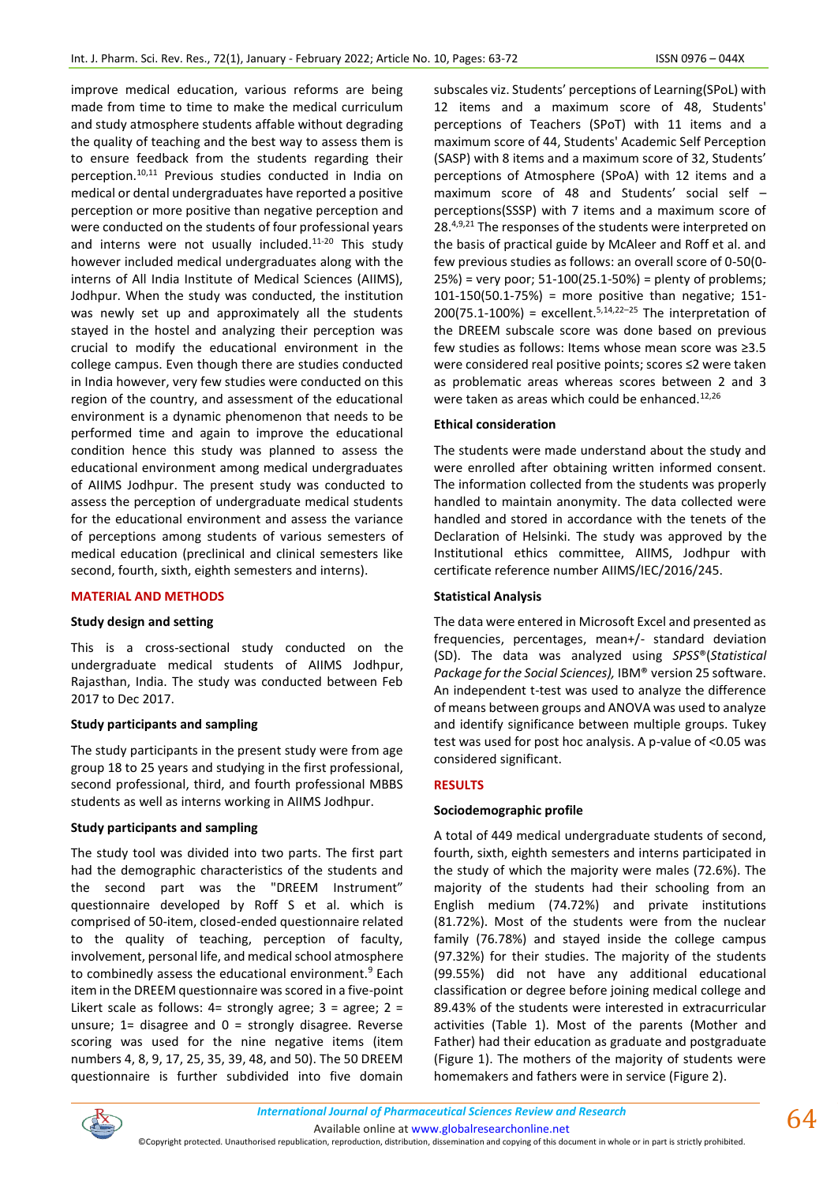improve medical education, various reforms are being made from time to time to make the medical curriculum and study atmosphere students affable without degrading the quality of teaching and the best way to assess them is to ensure feedback from the students regarding their perception.10,11 Previous studies conducted in India on medical or dental undergraduates have reported a positive perception or more positive than negative perception and were conducted on the students of four professional years and interns were not usually included. $11-20$  This study however included medical undergraduates along with the interns of All India Institute of Medical Sciences (AIIMS), Jodhpur. When the study was conducted, the institution was newly set up and approximately all the students stayed in the hostel and analyzing their perception was crucial to modify the educational environment in the college campus. Even though there are studies conducted in India however, very few studies were conducted on this region of the country, and assessment of the educational environment is a dynamic phenomenon that needs to be performed time and again to improve the educational condition hence this study was planned to assess the educational environment among medical undergraduates of AIIMS Jodhpur. The present study was conducted to assess the perception of undergraduate medical students for the educational environment and assess the variance of perceptions among students of various semesters of medical education (preclinical and clinical semesters like second, fourth, sixth, eighth semesters and interns).

# **MATERIAL AND METHODS**

# **Study design and setting**

This is a cross-sectional study conducted on the undergraduate medical students of AIIMS Jodhpur, Rajasthan, India. The study was conducted between Feb 2017 to Dec 2017.

#### **Study participants and sampling**

The study participants in the present study were from age group 18 to 25 years and studying in the first professional, second professional, third, and fourth professional MBBS students as well as interns working in AIIMS Jodhpur.

# **Study participants and sampling**

The study tool was divided into two parts. The first part had the demographic characteristics of the students and the second part was the "DREEM Instrument" questionnaire developed by Roff S et al. which is comprised of 50-item, closed-ended questionnaire related to the quality of teaching, perception of faculty, involvement, personal life, and medical school atmosphere to combinedly assess the educational environment.<sup>9</sup> Each item in the DREEM questionnaire was scored in a five-point Likert scale as follows: 4= strongly agree; 3 = agree; 2 = unsure;  $1=$  disagree and  $0=$  strongly disagree. Reverse scoring was used for the nine negative items (item numbers 4, 8, 9, 17, 25, 35, 39, 48, and 50). The 50 DREEM questionnaire is further subdivided into five domain

subscales viz. Students' perceptions of Learning(SPoL) with 12 items and a maximum score of 48, Students' perceptions of Teachers (SPoT) with 11 items and a maximum score of 44, Students' Academic Self Perception (SASP) with 8 items and a maximum score of 32, Students' perceptions of Atmosphere (SPoA) with 12 items and a maximum score of 48 and Students' social self – perceptions(SSSP) with 7 items and a maximum score of 28.<sup>4,9,21</sup> The responses of the students were interpreted on the basis of practical guide by McAleer and Roff et al. and few previous studies as follows: an overall score of 0-50(0- 25%) = very poor; 51-100(25.1-50%) = plenty of problems; 101-150(50.1-75%) = more positive than negative; 151- $200(75.1-100%)$  = excellent.<sup>5,14,22-25</sup> The interpretation of the DREEM subscale score was done based on previous few studies as follows: Items whose mean score was ≥3.5 were considered real positive points; scores ≤2 were taken as problematic areas whereas scores between 2 and 3 were taken as areas which could be enhanced.<sup>12,26</sup>

# **Ethical consideration**

The students were made understand about the study and were enrolled after obtaining written informed consent. The information collected from the students was properly handled to maintain anonymity. The data collected were handled and stored in accordance with the tenets of the Declaration of Helsinki. The study was approved by the Institutional ethics committee, AIIMS, Jodhpur with certificate reference number AIIMS/IEC/2016/245.

#### **Statistical Analysis**

The data were entered in Microsoft Excel and presented as frequencies, percentages, mean+/- standard deviation (SD). The data was analyzed using *SPSS*®(*Statistical Package for the Social Sciences),* IBM® version 25 software. An independent t-test was used to analyze the difference of means between groups and ANOVA was used to analyze and identify significance between multiple groups. Tukey test was used for post hoc analysis. A p-value of <0.05 was considered significant.

# **RESULTS**

# **Sociodemographic profile**

A total of 449 medical undergraduate students of second, fourth, sixth, eighth semesters and interns participated in the study of which the majority were males (72.6%). The majority of the students had their schooling from an English medium (74.72%) and private institutions (81.72%). Most of the students were from the nuclear family (76.78%) and stayed inside the college campus (97.32%) for their studies. The majority of the students (99.55%) did not have any additional educational classification or degree before joining medical college and 89.43% of the students were interested in extracurricular activities (Table 1). Most of the parents (Mother and Father) had their education as graduate and postgraduate (Figure 1). The mothers of the majority of students were homemakers and fathers were in service (Figure 2).

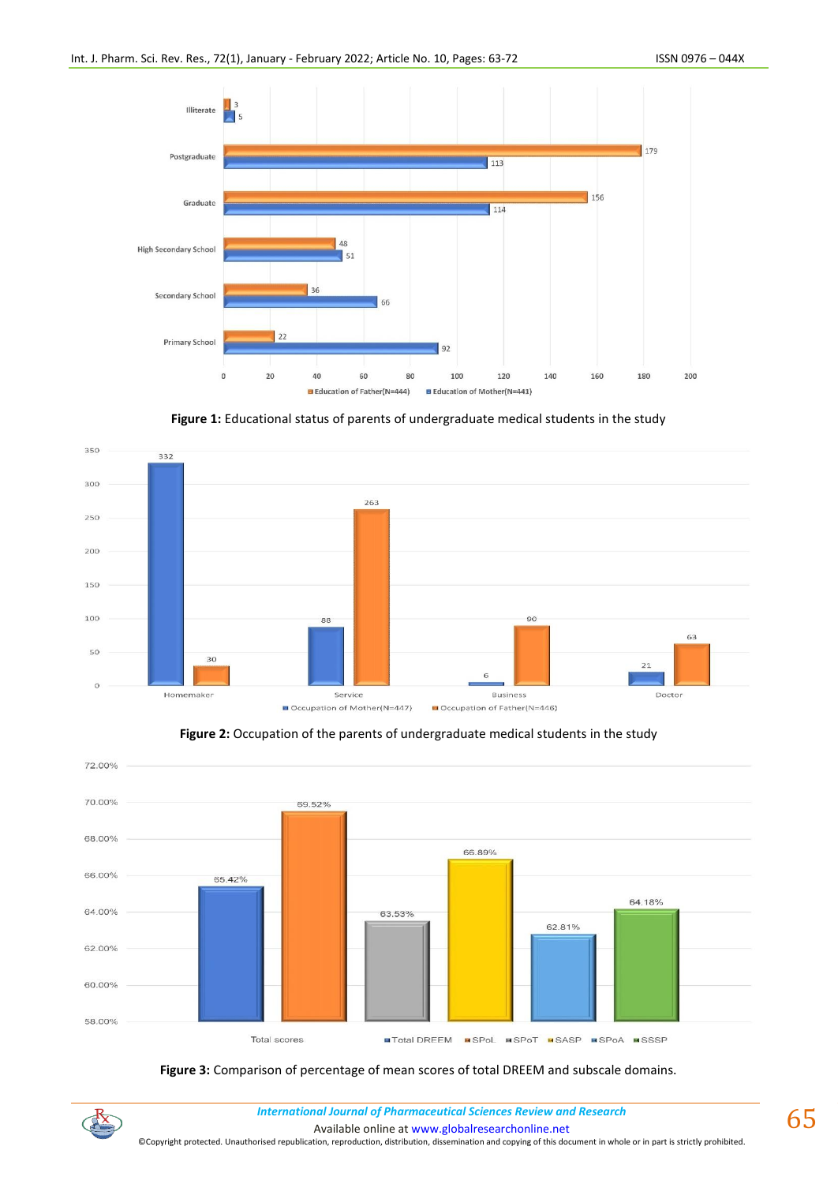

Figure 1: Educational status of parents of undergraduate medical students in the study







# **Figure 3:** Comparison of percentage of mean scores of total DREEM and subscale domains.



*International Journal of Pharmaceutical Sciences Review and Research International Journal of Pharmaceutical Sciences Review and Research*

Available online a[t www.globalresearchonline.net](http://www.globalresearchonline.net/)

©Copyright protected. Unauthorised republication, reproduction, distribution, dissemination and copying of this document in whole or in part is strictly prohibited.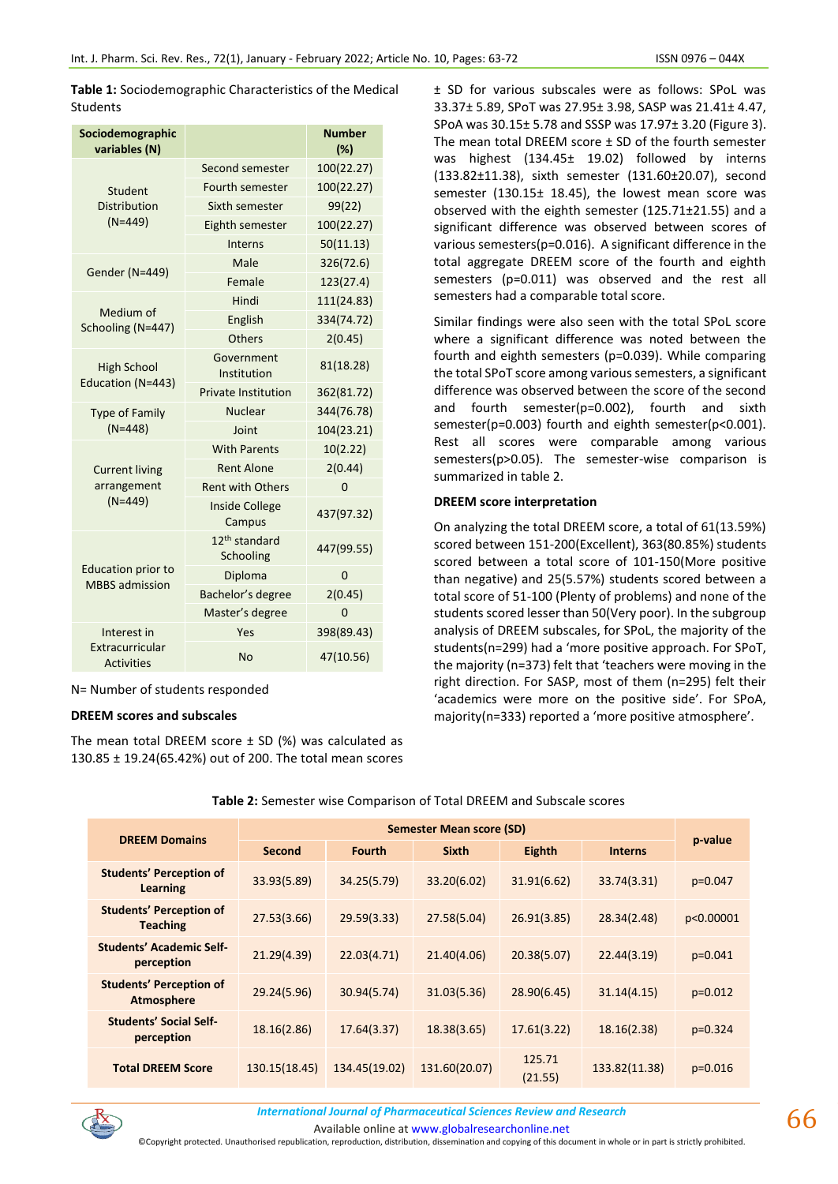**Table 1:** Sociodemographic Characteristics of the Medical Students

| Sociodemographic<br>variables (N)    |                                        | Number<br>(%) |
|--------------------------------------|----------------------------------------|---------------|
|                                      | Second semester                        | 100(22.27)    |
| Student                              | Fourth semester                        | 100(22.27)    |
| <b>Distribution</b>                  | Sixth semester                         | 99(22)        |
| $(N=449)$                            | Eighth semester                        | 100(22.27)    |
|                                      | Interns                                | 50(11.13)     |
| Gender (N=449)                       | Male                                   | 326(72.6)     |
|                                      | Female                                 | 123(27.4)     |
|                                      | Hindi                                  | 111(24.83)    |
| Medium of<br>Schooling (N=447)       | English                                | 334(74.72)    |
|                                      | Others                                 | 2(0.45)       |
| <b>High School</b>                   | Government<br>Institution              | 81(18.28)     |
| Education (N=443)                    | <b>Private Institution</b>             | 362(81.72)    |
| <b>Type of Family</b>                | <b>Nuclear</b>                         | 344(76.78)    |
| $(N=448)$                            | Joint                                  | 104(23.21)    |
|                                      | <b>With Parents</b>                    | 10(2.22)      |
| <b>Current living</b>                | <b>Rent Alone</b>                      | 2(0.44)       |
| arrangement                          | <b>Rent with Others</b>                | 0             |
| $(N=449)$                            | <b>Inside College</b><br>Campus        | 437(97.32)    |
|                                      | 12 <sup>th</sup> standard<br>Schooling | 447(99.55)    |
| <b>Education prior to</b>            | Diploma                                | 0             |
| <b>MBBS</b> admission                | Bachelor's degree                      | 2(0.45)       |
|                                      | Master's degree                        | 0             |
| Interest in                          | Yes                                    | 398(89.43)    |
| Extracurricular<br><b>Activities</b> | <b>No</b>                              | 47(10.56)     |

N= Number of students responded

#### **DREEM scores and subscales**

The mean total DREEM score  $\pm$  SD (%) was calculated as 130.85 ± 19.24(65.42%) out of 200. The total mean scores ± SD for various subscales were as follows: SPoL was 33.37± 5.89, SPoT was 27.95± 3.98, SASP was 21.41± 4.47, SPoA was 30.15± 5.78 and SSSP was 17.97± 3.20 (Figure 3). The mean total DREEM score ± SD of the fourth semester was highest (134.45± 19.02) followed by interns (133.82±11.38), sixth semester (131.60±20.07), second semester (130.15± 18.45), the lowest mean score was observed with the eighth semester (125.71±21.55) and a significant difference was observed between scores of various semesters(p=0.016). A significant difference in the total aggregate DREEM score of the fourth and eighth semesters (p=0.011) was observed and the rest all semesters had a comparable total score.

Similar findings were also seen with the total SPoL score where a significant difference was noted between the fourth and eighth semesters (p=0.039). While comparing the total SPoT score among various semesters, a significant difference was observed between the score of the second and fourth semester(p=0.002), fourth and sixth semester(p=0.003) fourth and eighth semester(p<0.001). Rest all scores were comparable among various semesters(p>0.05). The semester-wise comparison is summarized in table 2.

#### **DREEM score interpretation**

On analyzing the total DREEM score, a total of 61(13.59%) scored between 151-200(Excellent), 363(80.85%) students scored between a total score of 101-150(More positive than negative) and 25(5.57%) students scored between a total score of 51-100 (Plenty of problems) and none of the students scored lesser than 50(Very poor). In the subgroup analysis of DREEM subscales, for SPoL, the majority of the students(n=299) had a 'more positive approach. For SPoT, the majority (n=373) felt that 'teachers were moving in the right direction. For SASP, most of them (n=295) felt their 'academics were more on the positive side'. For SPoA, majority(n=333) reported a 'more positive atmosphere'.

|                                                   | Semester Mean score (SD) |               |               |                   |                |           |  |
|---------------------------------------------------|--------------------------|---------------|---------------|-------------------|----------------|-----------|--|
| <b>DREEM Domains</b>                              | Second                   | <b>Fourth</b> | <b>Sixth</b>  | Eighth            | <b>Interns</b> | p-value   |  |
| <b>Students' Perception of</b><br>Learning        | 33.93(5.89)              | 34.25(5.79)   | 33.20(6.02)   | 31.91(6.62)       | 33.74(3.31)    | $p=0.047$ |  |
| <b>Students' Perception of</b><br><b>Teaching</b> | 27.53(3.66)              | 29.59(3.33)   | 27.58(5.04)   | 26.91(3.85)       | 28.34(2.48)    | p<0.00001 |  |
| <b>Students' Academic Self-</b><br>perception     | 21.29(4.39)              | 22.03(4.71)   | 21.40(4.06)   | 20.38(5.07)       | 22.44(3.19)    | $p=0.041$ |  |
| <b>Students' Perception of</b><br>Atmosphere      | 29.24(5.96)              | 30.94(5.74)   | 31.03(5.36)   | 28.90(6.45)       | 31.14(4.15)    | $p=0.012$ |  |
| <b>Students' Social Self-</b><br>perception       | 18.16(2.86)              | 17.64(3.37)   | 18.38(3.65)   | 17.61(3.22)       | 18.16(2.38)    | $p=0.324$ |  |
| <b>Total DREEM Score</b>                          | 130.15(18.45)            | 134.45(19.02) | 131.60(20.07) | 125.71<br>(21.55) | 133.82(11.38)  | $p=0.016$ |  |

**Table 2:** Semester wise Comparison of Total DREEM and Subscale scores



*International Journal of Pharmaceutical Sciences Review and Research International Journal of Pharmaceutical Sciences Review and Research*

Available online a[t www.globalresearchonline.net](http://www.globalresearchonline.net/)

©Copyright protected. Unauthorised republication, reproduction, distribution, dissemination and copying of this document in whole or in part is strictly prohibited.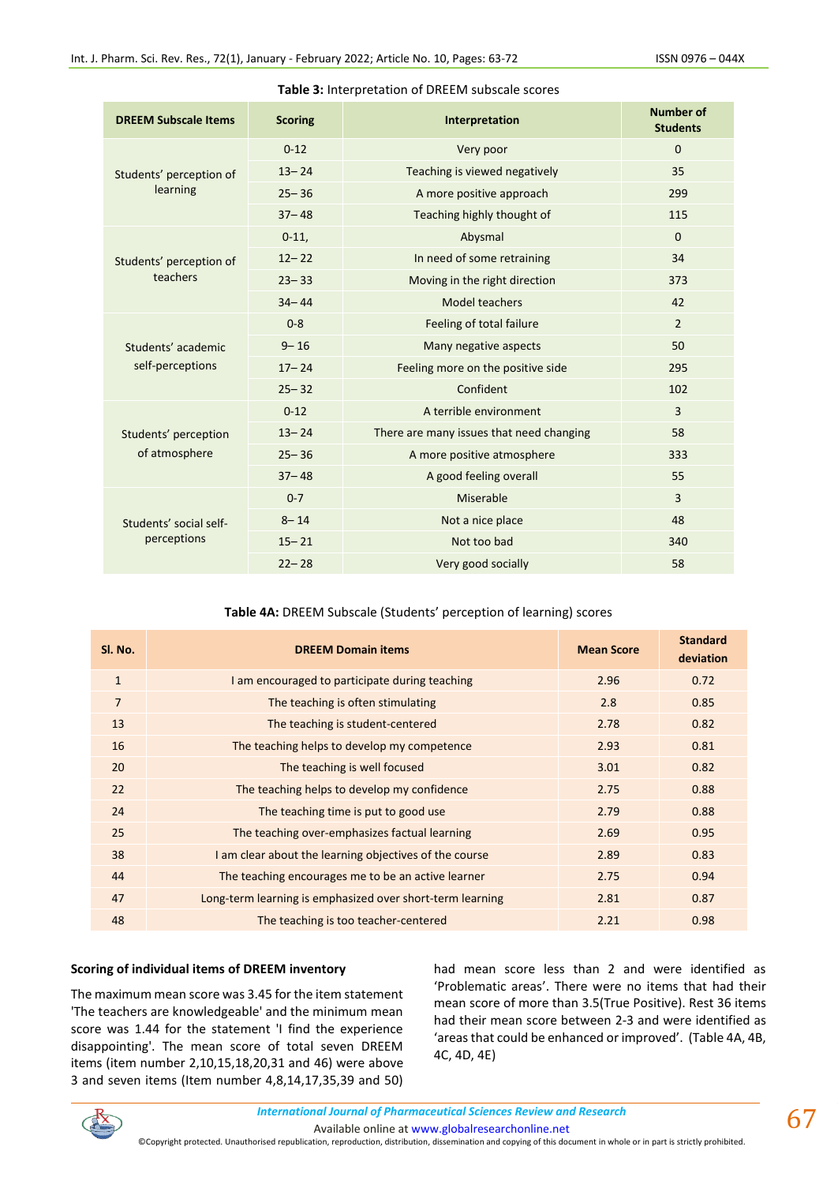| <b>DREEM Subscale Items</b> | <b>Scoring</b> | Interpretation                           | <b>Number of</b><br><b>Students</b> |
|-----------------------------|----------------|------------------------------------------|-------------------------------------|
|                             | $0 - 12$       | Very poor                                | $\Omega$                            |
| Students' perception of     | $13 - 24$      | Teaching is viewed negatively            | 35                                  |
| learning                    | $25 - 36$      | A more positive approach                 | 299                                 |
|                             | $37 - 48$      | Teaching highly thought of               | 115                                 |
|                             | $0-11,$        | Abysmal                                  | $\Omega$                            |
| Students' perception of     | $12 - 22$      | In need of some retraining               | 34                                  |
| teachers                    | $23 - 33$      | Moving in the right direction            | 373                                 |
|                             | $34 - 44$      | <b>Model teachers</b>                    | 42                                  |
|                             | $0 - 8$        | Feeling of total failure                 | $\overline{2}$                      |
| Students' academic          | $9 - 16$       | Many negative aspects                    | 50                                  |
| self-perceptions            | $17 - 24$      | Feeling more on the positive side        | 295                                 |
|                             | $25 - 32$      | Confident                                | 102                                 |
|                             | $0 - 12$       | A terrible environment                   | 3                                   |
| Students' perception        | $13 - 24$      | There are many issues that need changing | 58                                  |
| of atmosphere               | $25 - 36$      | A more positive atmosphere               | 333                                 |
|                             | $37 - 48$      | A good feeling overall                   | 55                                  |
|                             | $0 - 7$        | Miserable                                | 3                                   |
| Students' social self-      | $8 - 14$       | Not a nice place                         | 48                                  |
| perceptions                 | $15 - 21$      | Not too bad                              | 340                                 |
|                             | $22 - 28$      | Very good socially                       | 58                                  |

#### **Table 3:** Interpretation of DREEM subscale scores

# **Table 4A:** DREEM Subscale (Students' perception of learning) scores

| SI. No.        | <b>DREEM Domain items</b>                                 | <b>Mean Score</b> | <b>Standard</b><br>deviation |
|----------------|-----------------------------------------------------------|-------------------|------------------------------|
| $\mathbf{1}$   | I am encouraged to participate during teaching            | 2.96              | 0.72                         |
| $\overline{7}$ | The teaching is often stimulating                         | 2.8               | 0.85                         |
| 13             | The teaching is student-centered                          | 2.78              | 0.82                         |
| 16             | The teaching helps to develop my competence               | 2.93              | 0.81                         |
| 20             | The teaching is well focused                              | 3.01              | 0.82                         |
| 22             | The teaching helps to develop my confidence               | 2.75              | 0.88                         |
| 24             | The teaching time is put to good use                      | 2.79              | 0.88                         |
| 25             | The teaching over-emphasizes factual learning             | 2.69              | 0.95                         |
| 38             | I am clear about the learning objectives of the course    | 2.89              | 0.83                         |
| 44             | The teaching encourages me to be an active learner        | 2.75              | 0.94                         |
| 47             | Long-term learning is emphasized over short-term learning | 2.81              | 0.87                         |
| 48             | The teaching is too teacher-centered                      | 2.21              | 0.98                         |

#### **Scoring of individual items of DREEM inventory**

The maximum mean score was 3.45 for the item statement 'The teachers are knowledgeable' and the minimum mean score was 1.44 for the statement 'I find the experience disappointing'. The mean score of total seven DREEM items (item number 2,10,15,18,20,31 and 46) were above 3 and seven items (Item number 4,8,14,17,35,39 and 50) had mean score less than 2 and were identified as 'Problematic areas'. There were no items that had their mean score of more than 3.5(True Positive). Rest 36 items had their mean score between 2-3 and were identified as 'areas that could be enhanced or improved'. (Table 4A, 4B, 4C, 4D, 4E)

 $67$ 

©Copyright protected. Unauthorised republication, reproduction, distribution, dissemination and copying of this document in whole or in part is strictly prohibited.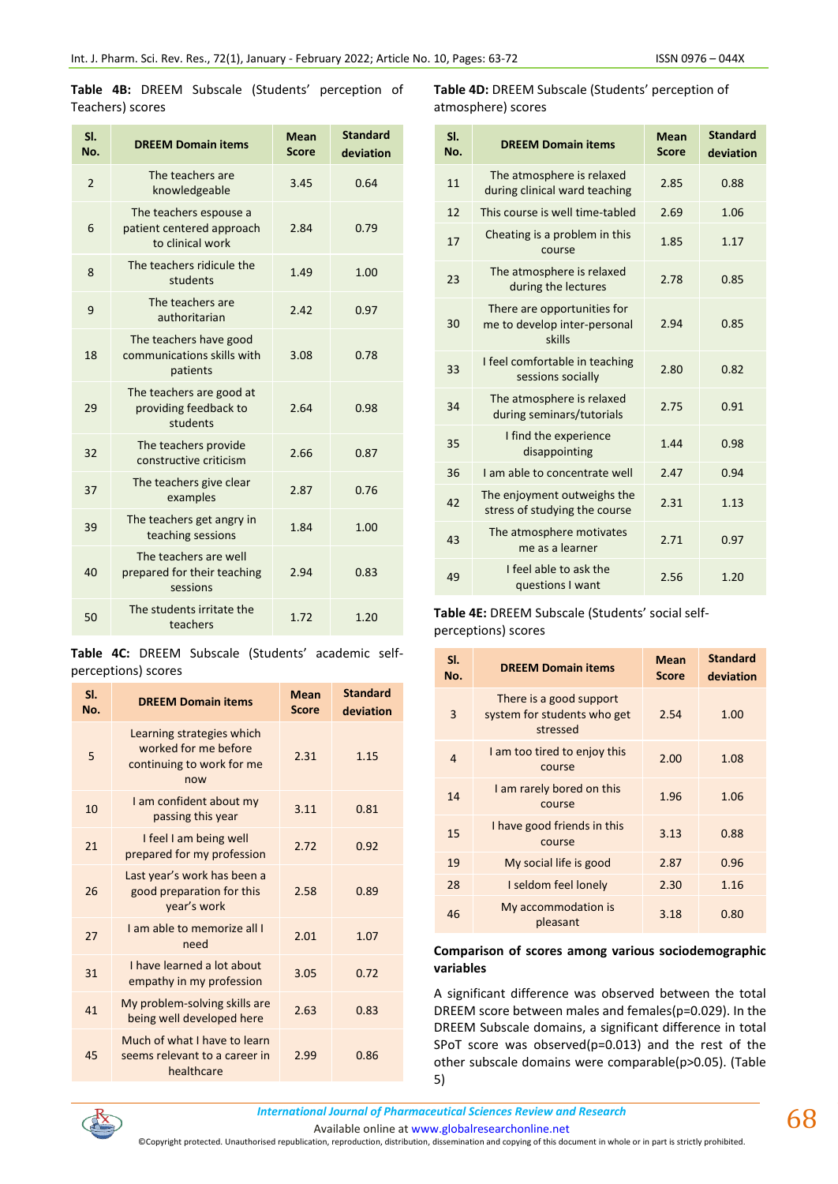1.85 1.17

2.94 0.85

**Standard deviation**

**Score**

**Table 4B:** DREEM Subscale (Students' perception of Teachers) scores

| SI.<br>No.     | <b>DREEM Domain items</b>                                               | Mean<br><b>Score</b> | <b>Standard</b><br>deviation |
|----------------|-------------------------------------------------------------------------|----------------------|------------------------------|
| $\overline{2}$ | The teachers are<br>knowledgeable                                       | 3.45                 | 0.64                         |
| 6              | The teachers espouse a<br>patient centered approach<br>to clinical work | 2.84                 | 0.79                         |
| 8              | The teachers ridicule the<br>students                                   | 1.49                 | 1.00                         |
| 9              | The teachers are<br>authoritarian                                       | 2.42                 | 0.97                         |
| 18             | The teachers have good<br>communications skills with<br>patients        | 3.08                 | 0.78                         |
| 29             | The teachers are good at<br>providing feedback to<br>students           | 2.64                 | 0.98                         |
| 32             | The teachers provide<br>constructive criticism                          | 2.66                 | 0.87                         |
| 37             | The teachers give clear<br>examples                                     | 2.87                 | 0.76                         |
| 39             | The teachers get angry in<br>teaching sessions                          | 1.84                 | 1.00                         |
| 40             | The teachers are well<br>prepared for their teaching<br>sessions        | 2.94                 | 0.83                         |
| 50             | The students irritate the<br>teachers                                   | 1.72                 | 1.20                         |

|  |                     | Table 4C: DREEM Subscale (Students' academic self- |  |
|--|---------------------|----------------------------------------------------|--|
|  | perceptions) scores |                                                    |  |

| SI.<br>No. | <b>DREEM Domain items</b>                                                             | <b>Mean</b><br><b>Score</b> | <b>Standard</b><br>deviation |
|------------|---------------------------------------------------------------------------------------|-----------------------------|------------------------------|
| 5          | Learning strategies which<br>worked for me before<br>continuing to work for me<br>now | 2.31                        | 1.15                         |
| 10         | I am confident about my<br>passing this year                                          | 3.11                        | 0.81                         |
| 21         | I feel I am being well<br>prepared for my profession                                  | 2.72                        | 0.92                         |
| 26         | Last year's work has been a<br>good preparation for this<br>year's work               | 2.58                        | 0.89                         |
| 27         | I am able to memorize all I<br>need                                                   | 2.01                        | 1.07                         |
| 31         | I have learned a lot about<br>empathy in my profession                                | 3.05                        | 0.72                         |
| 41         | My problem-solving skills are<br>being well developed here                            | 2.63                        | 0.83                         |
| 45         | Much of what I have to learn<br>seems relevant to a career in<br>healthcare           | 2.99                        | 0.86                         |

<sup>35</sup> I find the experience disappointing 1.44 0.98

36 I am able to concentrate well 2.47 0.94

**Table 4D:** DREEM Subscale (Students' perception of

during clinical ward teaching 2.85 0.88

e atmosphere is relaxed<br>during the lectures 2.78 0.85

sessions socially 2.80 0.82

The atmosphere is relaxed<br>during seminars/tutorials 2.75 0.91

stress of studying the course  $2.31$  1.13

12 This course is well time-tabled 2.69 1.06

**No. DREEM Domain items Mean** 

The atmosphere is relaxed<br>11 The atmosphere is relaxed

17 Cheating is a problem in this course

23 The atmosphere is relaxed

33 I feel comfortable in teaching

<sup>34</sup> The atmosphere is relaxed

42 The enjoyment outweighs the

<sup>43</sup> The atmosphere motivates

There are opportunities for me to develop inter-personal skills

atmosphere) scores

**Sl.** 

30

| 43 | THE ATHOSPHELE HOLIVALES<br>me as a learner                                    | 2.71 | 0.97 |
|----|--------------------------------------------------------------------------------|------|------|
| 49 | I feel able to ask the<br>questions I want                                     | 2.56 | 1.20 |
|    | <b>Table 4E:</b> DREEM Subscale (Students' social self-<br>perceptions) scores |      |      |

| SI.<br>No. | <b>DREEM Domain items</b>                                          | Mean<br><b>Score</b> | <b>Standard</b><br>deviation |
|------------|--------------------------------------------------------------------|----------------------|------------------------------|
| 3          | There is a good support<br>system for students who get<br>stressed | 2.54                 | 1.00                         |
| 4          | I am too tired to enjoy this<br>course                             | 2.00                 | 1.08                         |
| 14         | I am rarely bored on this<br>course                                | 1.96                 | 1.06                         |
| 15         | I have good friends in this<br>course                              | 3.13                 | 0.88                         |
| 19         | My social life is good                                             | 2.87                 | 0.96                         |
| 28         | I seldom feel lonely                                               | 2.30                 | 1.16                         |
| 46         | My accommodation is<br>pleasant                                    | 3.18                 | 0.80                         |

#### **Comparison of scores among various sociodemographic variables**

A significant difference was observed between the total DREEM score between males and females(p=0.029). In the DREEM Subscale domains, a significant difference in total SPoT score was observed(p=0.013) and the rest of the other subscale domains were comparable(p>0.05). (Table 5)

*International Journal of Pharmaceutical Sciences Review and Research International Journal of Pharmaceutical Sciences Review and Research*

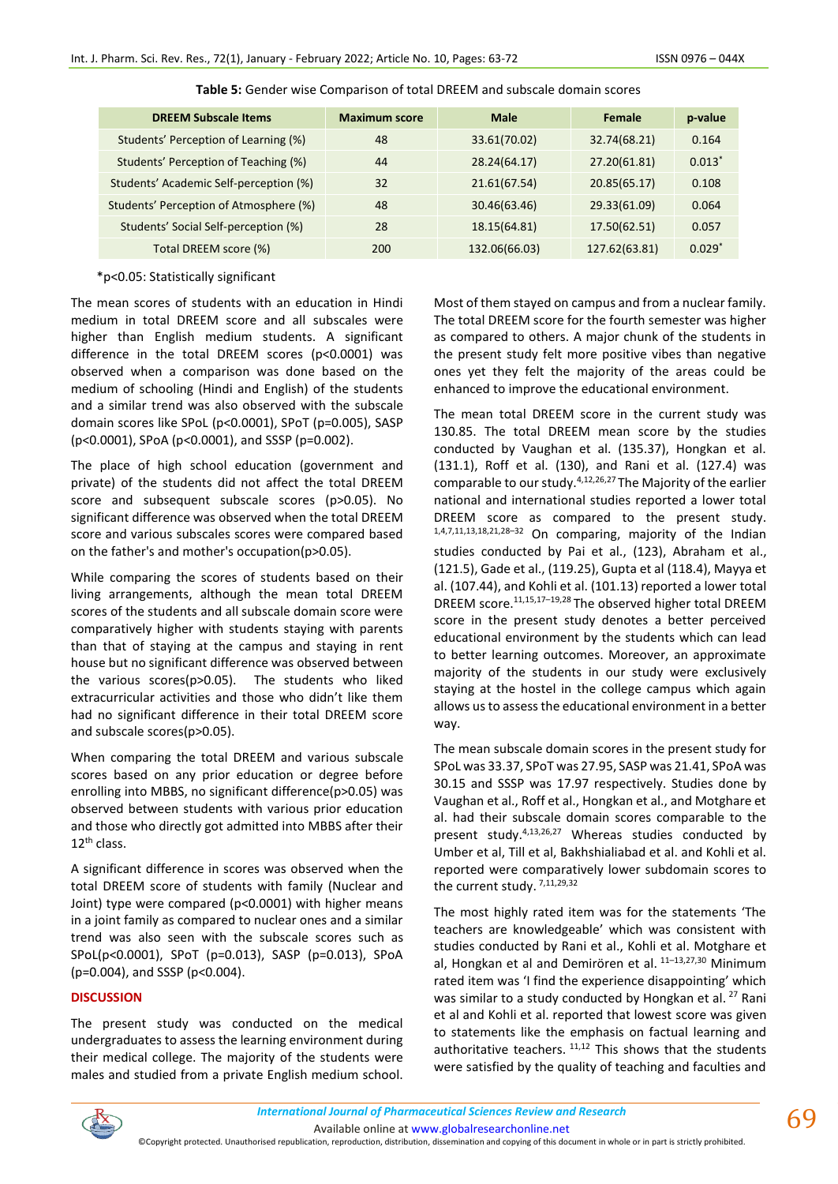| <b>DREEM Subscale Items</b>            | <b>Maximum score</b> | <b>Male</b>   | Female        | p-value  |
|----------------------------------------|----------------------|---------------|---------------|----------|
| Students' Perception of Learning (%)   | 48                   | 33.61(70.02)  | 32.74(68.21)  | 0.164    |
| Students' Perception of Teaching (%)   | 44                   | 28.24(64.17)  | 27.20(61.81)  | $0.013*$ |
| Students' Academic Self-perception (%) | 32                   | 21.61(67.54)  | 20.85(65.17)  | 0.108    |
| Students' Perception of Atmosphere (%) | 48                   | 30.46(63.46)  | 29.33(61.09)  | 0.064    |
| Students' Social Self-perception (%)   | 28                   | 18.15(64.81)  | 17.50(62.51)  | 0.057    |
| Total DREEM score (%)                  | 200                  | 132.06(66.03) | 127.62(63.81) | $0.029*$ |

**Table 5:** Gender wise Comparison of total DREEM and subscale domain scores

#### \*p<0.05: Statistically significant

The mean scores of students with an education in Hindi medium in total DREEM score and all subscales were higher than English medium students. A significant difference in the total DREEM scores (p<0.0001) was observed when a comparison was done based on the medium of schooling (Hindi and English) of the students and a similar trend was also observed with the subscale domain scores like SPoL (p<0.0001), SPoT (p=0.005), SASP (p<0.0001), SPoA (p<0.0001), and SSSP (p=0.002).

The place of high school education (government and private) of the students did not affect the total DREEM score and subsequent subscale scores (p>0.05). No significant difference was observed when the total DREEM score and various subscales scores were compared based on the father's and mother's occupation(p>0.05).

While comparing the scores of students based on their living arrangements, although the mean total DREEM scores of the students and all subscale domain score were comparatively higher with students staying with parents than that of staying at the campus and staying in rent house but no significant difference was observed between the various scores(p>0.05). The students who liked extracurricular activities and those who didn't like them had no significant difference in their total DREEM score and subscale scores(p>0.05).

When comparing the total DREEM and various subscale scores based on any prior education or degree before enrolling into MBBS, no significant difference(p>0.05) was observed between students with various prior education and those who directly got admitted into MBBS after their 12<sup>th</sup> class.

A significant difference in scores was observed when the total DREEM score of students with family (Nuclear and Joint) type were compared (p<0.0001) with higher means in a joint family as compared to nuclear ones and a similar trend was also seen with the subscale scores such as SPoL(p<0.0001), SPoT (p=0.013), SASP (p=0.013), SPoA (p=0.004), and SSSP (p<0.004).

# **DISCUSSION**

The present study was conducted on the medical undergraduates to assess the learning environment during their medical college. The majority of the students were males and studied from a private English medium school.

Most of them stayed on campus and from a nuclear family. The total DREEM score for the fourth semester was higher as compared to others. A major chunk of the students in the present study felt more positive vibes than negative ones yet they felt the majority of the areas could be enhanced to improve the educational environment.

The mean total DREEM score in the current study was 130.85. The total DREEM mean score by the studies conducted by Vaughan et al. (135.37), Hongkan et al. (131.1), Roff et al. (130), and Rani et al. (127.4) was comparable to our study. $4,12,26,27$  The Majority of the earlier national and international studies reported a lower total DREEM score as compared to the present study. 1,4,7,11,13,18,21,28–<sup>32</sup> On comparing, majority of the Indian studies conducted by Pai et al., (123), Abraham et al., (121.5), Gade et al., (119.25), Gupta et al (118.4), Mayya et al. (107.44), and Kohli et al. (101.13) reported a lower total DREEM score.11,15,17–19,28 The observed higher total DREEM score in the present study denotes a better perceived educational environment by the students which can lead to better learning outcomes. Moreover, an approximate majority of the students in our study were exclusively staying at the hostel in the college campus which again allows us to assess the educational environment in a better way.

The mean subscale domain scores in the present study for SPoL was 33.37, SPoT was 27.95, SASP was 21.41, SPoA was 30.15 and SSSP was 17.97 respectively. Studies done by Vaughan et al., Roff et al., Hongkan et al., and Motghare et al. had their subscale domain scores comparable to the present study.4,13,26,27 Whereas studies conducted by Umber et al, Till et al, Bakhshialiabad et al. and Kohli et al. reported were comparatively lower subdomain scores to the current study.<sup>7,11,29,32</sup>

The most highly rated item was for the statements 'The teachers are knowledgeable' which was consistent with studies conducted by Rani et al., Kohli et al. Motghare et al, Hongkan et al and Demirören et al. <sup>11</sup>–13,27,30 Minimum rated item was 'I find the experience disappointing' which was similar to a study conducted by Hongkan et al.<sup>27</sup> Rani et al and Kohli et al. reported that lowest score was given to statements like the emphasis on factual learning and authoritative teachers.  $11,12$  This shows that the students were satisfied by the quality of teaching and faculties and

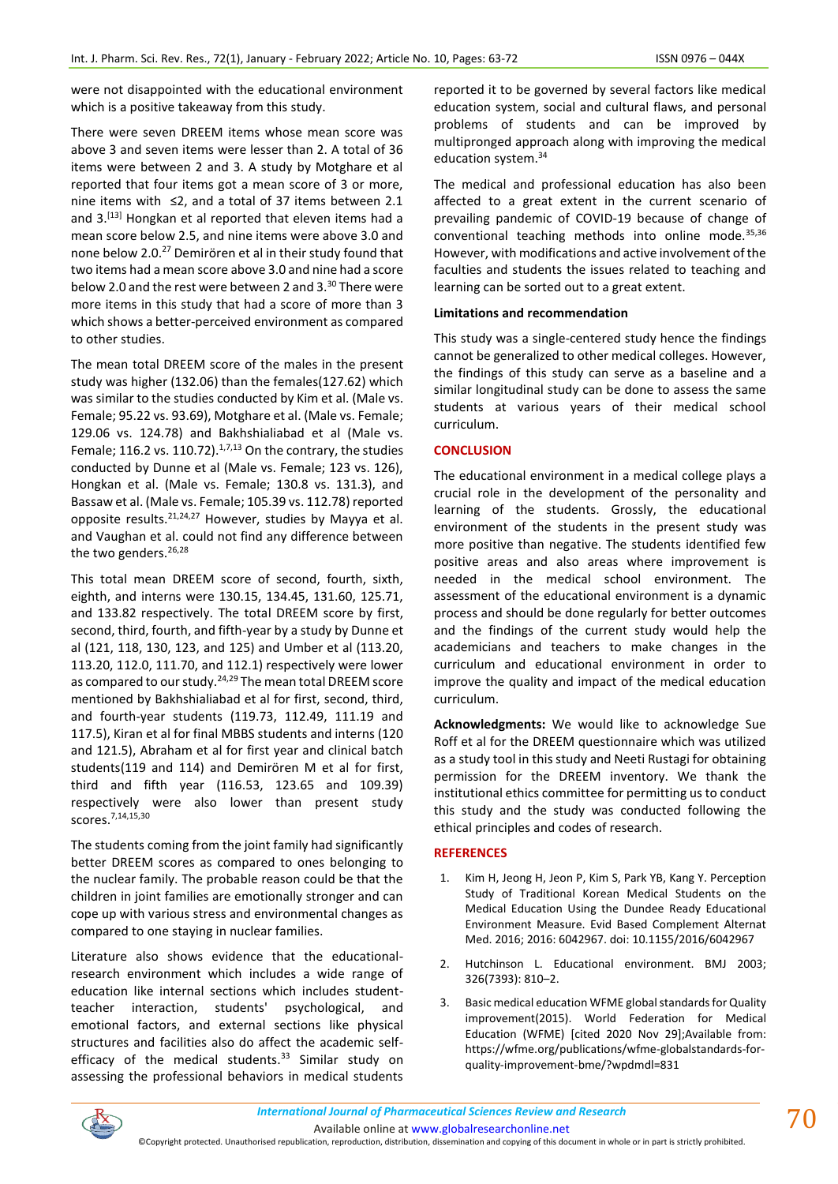were not disappointed with the educational environment which is a positive takeaway from this study.

There were seven DREEM items whose mean score was above 3 and seven items were lesser than 2. A total of 36 items were between 2 and 3. A study by Motghare et al reported that four items got a mean score of 3 or more, nine items with ≤2, and a total of 37 items between 2.1 and 3.<sup>[13]</sup> Hongkan et al reported that eleven items had a mean score below 2.5, and nine items were above 3.0 and none below 2.0.<sup>27</sup> Demirören et al in their study found that two items had a mean score above 3.0 and nine had a score below 2.0 and the rest were between 2 and 3.<sup>30</sup> There were more items in this study that had a score of more than 3 which shows a better-perceived environment as compared to other studies.

The mean total DREEM score of the males in the present study was higher (132.06) than the females(127.62) which was similar to the studies conducted by Kim et al. (Male vs. Female; 95.22 vs. 93.69), Motghare et al. (Male vs. Female; 129.06 vs. 124.78) and Bakhshialiabad et al (Male vs. Female; 116.2 vs. 110.72). $1,7,13$  On the contrary, the studies conducted by Dunne et al (Male vs. Female; 123 vs. 126), Hongkan et al. (Male vs. Female; 130.8 vs. 131.3), and Bassaw et al. (Male vs. Female; 105.39 vs. 112.78) reported opposite results.  $2^{1,24,27}$  However, studies by Mayya et al. and Vaughan et al. could not find any difference between the two genders.<sup>26,28</sup>

This total mean DREEM score of second, fourth, sixth, eighth, and interns were 130.15, 134.45, 131.60, 125.71, and 133.82 respectively. The total DREEM score by first, second, third, fourth, and fifth-year by a study by Dunne et al (121, 118, 130, 123, and 125) and Umber et al (113.20, 113.20, 112.0, 111.70, and 112.1) respectively were lower as compared to our study.<sup>24,29</sup> The mean total DREEM score mentioned by Bakhshialiabad et al for first, second, third, and fourth-year students (119.73, 112.49, 111.19 and 117.5), Kiran et al for final MBBS students and interns (120 and 121.5), Abraham et al for first year and clinical batch students(119 and 114) and Demirören M et al for first, third and fifth year (116.53, 123.65 and 109.39) respectively were also lower than present study scores.7,14,15,30

The students coming from the joint family had significantly better DREEM scores as compared to ones belonging to the nuclear family. The probable reason could be that the children in joint families are emotionally stronger and can cope up with various stress and environmental changes as compared to one staying in nuclear families.

Literature also shows evidence that the educationalresearch environment which includes a wide range of education like internal sections which includes studentteacher interaction, students' psychological, and emotional factors, and external sections like physical structures and facilities also do affect the academic selfefficacy of the medical students.<sup>33</sup> Similar study on assessing the professional behaviors in medical students reported it to be governed by several factors like medical education system, social and cultural flaws, and personal problems of students and can be improved by multipronged approach along with improving the medical education system.<sup>34</sup>

The medical and professional education has also been affected to a great extent in the current scenario of prevailing pandemic of COVID-19 because of change of conventional teaching methods into online mode.<sup>35,36</sup> However, with modifications and active involvement of the faculties and students the issues related to teaching and learning can be sorted out to a great extent.

#### **Limitations and recommendation**

This study was a single-centered study hence the findings cannot be generalized to other medical colleges. However, the findings of this study can serve as a baseline and a similar longitudinal study can be done to assess the same students at various years of their medical school curriculum.

#### **CONCLUSION**

The educational environment in a medical college plays a crucial role in the development of the personality and learning of the students. Grossly, the educational environment of the students in the present study was more positive than negative. The students identified few positive areas and also areas where improvement is needed in the medical school environment. The assessment of the educational environment is a dynamic process and should be done regularly for better outcomes and the findings of the current study would help the academicians and teachers to make changes in the curriculum and educational environment in order to improve the quality and impact of the medical education curriculum.

**Acknowledgments:** We would like to acknowledge Sue Roff et al for the DREEM questionnaire which was utilized as a study tool in this study and Neeti Rustagi for obtaining permission for the DREEM inventory. We thank the institutional ethics committee for permitting us to conduct this study and the study was conducted following the ethical principles and codes of research.

#### **REFERENCES**

- 1. Kim H, Jeong H, Jeon P, Kim S, Park YB, Kang Y. Perception Study of Traditional Korean Medical Students on the Medical Education Using the Dundee Ready Educational Environment Measure. Evid Based Complement Alternat Med. 2016; 2016: 6042967. doi: 10.1155/2016/6042967
- 2. Hutchinson L. Educational environment. BMJ 2003; 326(7393): 810–2.
- 3. Basic medical education WFME global standards for Quality improvement(2015). World Federation for Medical Education (WFME) [cited 2020 Nov 29];Available from: https://wfme.org/publications/wfme-globalstandards-forquality-improvement-bme/?wpdmdl=831

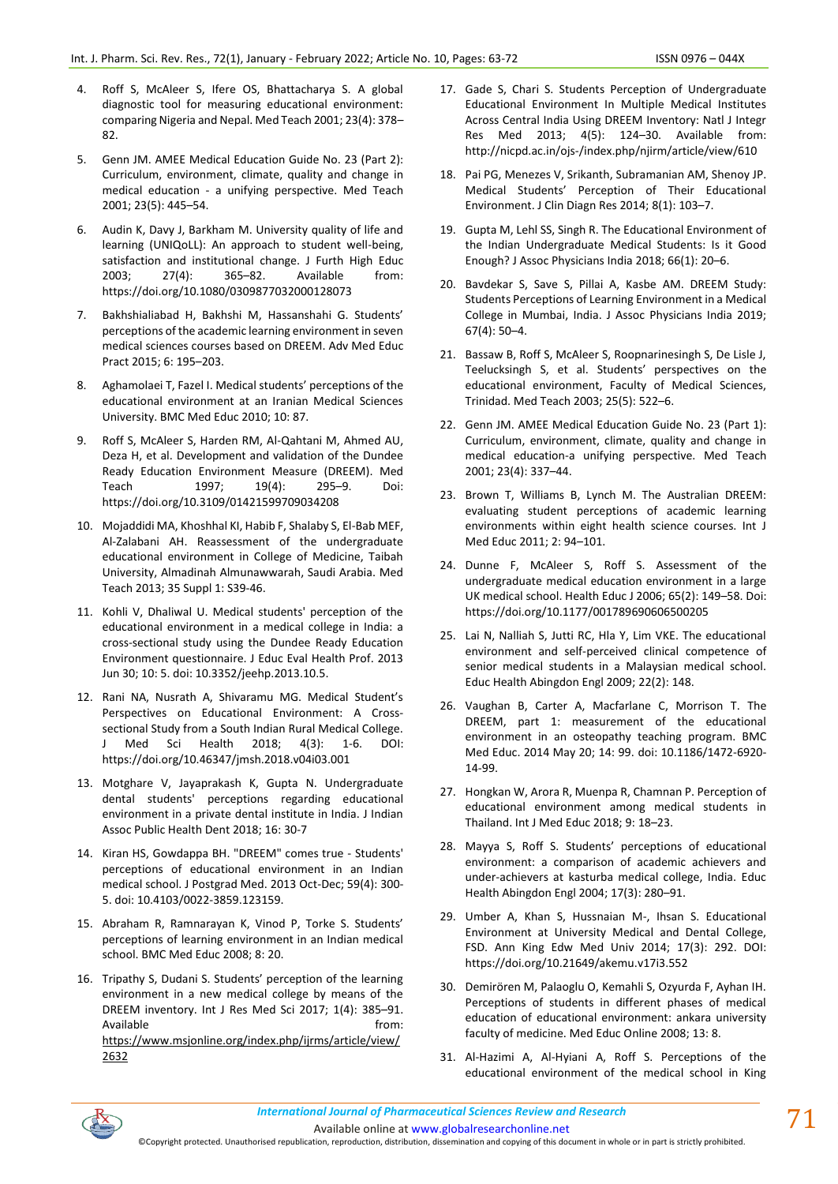- 4. Roff S, McAleer S, Ifere OS, Bhattacharya S. A global diagnostic tool for measuring educational environment: comparing Nigeria and Nepal. Med Teach 2001; 23(4): 378– 82.
- 5. Genn JM. AMEE Medical Education Guide No. 23 (Part 2): Curriculum, environment, climate, quality and change in medical education - a unifying perspective. Med Teach 2001; 23(5): 445–54.
- 6. Audin K, Davy J, Barkham M. University quality of life and learning (UNIQoLL): An approach to student well-being, satisfaction and institutional change. J Furth High Educ 2003; 27(4): 365–82. Available from: https://doi.org/10.1080/0309877032000128073
- 7. Bakhshialiabad H, Bakhshi M, Hassanshahi G. Students' perceptions of the academic learning environment in seven medical sciences courses based on DREEM. Adv Med Educ Pract 2015; 6: 195–203.
- 8. Aghamolaei T, Fazel I. Medical students' perceptions of the educational environment at an Iranian Medical Sciences University. BMC Med Educ 2010; 10: 87.
- 9. Roff S, McAleer S, Harden RM, Al-Qahtani M, Ahmed AU, Deza H, et al. Development and validation of the Dundee Ready Education Environment Measure (DREEM). Med Teach 1997; 19(4): 295–9. Doi: https://doi.org/10.3109/01421599709034208
- 10. Mojaddidi MA, Khoshhal KI, Habib F, Shalaby S, El-Bab MEF, Al-Zalabani AH. Reassessment of the undergraduate educational environment in College of Medicine, Taibah University, Almadinah Almunawwarah, Saudi Arabia. Med Teach 2013; 35 Suppl 1: S39-46.
- 11. Kohli V, Dhaliwal U. Medical students' perception of the educational environment in a medical college in India: a cross-sectional study using the Dundee Ready Education Environment questionnaire. J Educ Eval Health Prof. 2013 Jun 30; 10: 5. doi: 10.3352/jeehp.2013.10.5.
- 12. Rani NA, Nusrath A, Shivaramu MG. Medical Student's Perspectives on Educational Environment: A Crosssectional Study from a South Indian Rural Medical College. J Med Sci Health 2018; 4(3): 1-6. DOI: https://doi.org/10.46347/jmsh.2018.v04i03.001
- 13. Motghare V, Jayaprakash K, Gupta N. Undergraduate dental students' perceptions regarding educational environment in a private dental institute in India. J Indian Assoc Public Health Dent 2018; 16: 30-7
- 14. Kiran HS, Gowdappa BH. "DREEM" comes true Students' perceptions of educational environment in an Indian medical school. J Postgrad Med. 2013 Oct-Dec; 59(4): 300- 5. doi: 10.4103/0022-3859.123159.
- 15. Abraham R, Ramnarayan K, Vinod P, Torke S. Students' perceptions of learning environment in an Indian medical school. BMC Med Educ 2008; 8: 20.
- 16. Tripathy S, Dudani S. Students' perception of the learning environment in a new medical college by means of the DREEM inventory. Int J Res Med Sci 2017; 1(4): 385–91. Available from: [https://www.msjonline.org/index.php/ijrms/article/view/](about:blank) [2632](about:blank)
- 17. Gade S, Chari S. Students Perception of Undergraduate Educational Environment In Multiple Medical Institutes Across Central India Using DREEM Inventory: Natl J Integr Res Med 2013; 4(5): 124–30. Available from: http://nicpd.ac.in/ojs-/index.php/njirm/article/view/610
- 18. Pai PG, Menezes V, Srikanth, Subramanian AM, Shenoy JP. Medical Students' Perception of Their Educational Environment. J Clin Diagn Res 2014; 8(1): 103–7.
- 19. Gupta M, Lehl SS, Singh R. The Educational Environment of the Indian Undergraduate Medical Students: Is it Good Enough? J Assoc Physicians India 2018; 66(1): 20–6.
- 20. Bavdekar S, Save S, Pillai A, Kasbe AM. DREEM Study: Students Perceptions of Learning Environment in a Medical College in Mumbai, India. J Assoc Physicians India 2019; 67(4): 50–4.
- 21. Bassaw B, Roff S, McAleer S, Roopnarinesingh S, De Lisle J, Teelucksingh S, et al. Students' perspectives on the educational environment, Faculty of Medical Sciences, Trinidad. Med Teach 2003; 25(5): 522–6.
- 22. Genn JM. AMEE Medical Education Guide No. 23 (Part 1): Curriculum, environment, climate, quality and change in medical education-a unifying perspective. Med Teach 2001; 23(4): 337–44.
- 23. Brown T, Williams B, Lynch M. The Australian DREEM: evaluating student perceptions of academic learning environments within eight health science courses. Int J Med Educ 2011; 2: 94–101.
- 24. Dunne F, McAleer S, Roff S. Assessment of the undergraduate medical education environment in a large UK medical school. Health Educ J 2006; 65(2): 149–58. Doi: https://doi.org/10.1177/001789690606500205
- 25. Lai N, Nalliah S, Jutti RC, Hla Y, Lim VKE. The educational environment and self-perceived clinical competence of senior medical students in a Malaysian medical school. Educ Health Abingdon Engl 2009; 22(2): 148.
- 26. Vaughan B, Carter A, Macfarlane C, Morrison T. The DREEM, part 1: measurement of the educational environment in an osteopathy teaching program. BMC Med Educ. 2014 May 20; 14: 99. doi: 10.1186/1472-6920- 14-99.
- 27. Hongkan W, Arora R, Muenpa R, Chamnan P. Perception of educational environment among medical students in Thailand. Int J Med Educ 2018; 9: 18–23.
- 28. Mayya S, Roff S. Students' perceptions of educational environment: a comparison of academic achievers and under-achievers at kasturba medical college, India. Educ Health Abingdon Engl 2004; 17(3): 280–91.
- 29. Umber A, Khan S, Hussnaian M-, Ihsan S. Educational Environment at University Medical and Dental College, FSD. Ann King Edw Med Univ 2014; 17(3): 292. DOI: https://doi.org/10.21649/akemu.v17i3.552
- 30. Demirören M, Palaoglu O, Kemahli S, Ozyurda F, Ayhan IH. Perceptions of students in different phases of medical education of educational environment: ankara university faculty of medicine. Med Educ Online 2008; 13: 8.
- 31. Al-Hazimi A, Al-Hyiani A, Roff S. Perceptions of the educational environment of the medical school in King